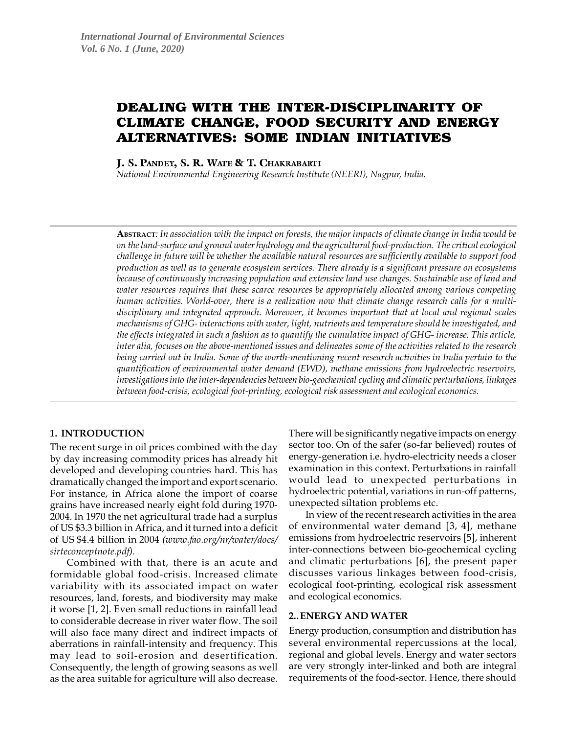# DEALING WITH THE INTER-DISCIPLINARITY OF CLIMATE CHANGE, FOOD SECURITY AND ENERGY ALTERNATIVES: SOME INDIAN INITIATIVES

J. S. PANDEY, S. R. WATE & T. CHAKRABARTI

*National Environmental Engineering Research Institute (NEERI), Nagpur, India.*

**ABSTRACT***: In association with the impact on forests, the major impacts of climate change in India would be on the land-surface and ground water hydrology and the agricultural food-production. The critical ecological challenge in future will be whether the available natural resources are sufficiently available to support food production as well as to generate ecosystem services. There already is a significant pressure on ecosystems because of continuously increasing population and extensive land use changes. Sustainable use of land and water resources requires that these scarce resources be appropriately allocated among various competing human activities. World-over, there is a realization now that climate change research calls for a multidisciplinary and integrated approach. Moreover, it becomes important that at local and regional scales mechanisms of GHG- interactions with water, light, nutrients and temperature should be investigated, and the effects integrated in such a fashion as to quantify the cumulative impact of GHG- increase. This article, inter alia, focuses on the above-mentioned issues and delineates some of the activities related to the research being carried out in India. Some of the worth-mentioning recent research activities in India pertain to the quantification of environmental water demand (EWD), methane emissions from hydroelectric reservoirs, investigations into the inter-dependencies between bio-geochemical cycling and climatic perturbations, linkages between food-crisis, ecological foot-printing, ecological risk assessment and ecological economics.*

### **1. INTRODUCTION**

The recent surge in oil prices combined with the day by day increasing commodity prices has already hit developed and developing countries hard. This has dramatically changed the import and export scenario. For instance, in Africa alone the import of coarse grains have increased nearly eight fold during 1970- 2004. In 1970 the net agricultural trade had a surplus of US \$3.3 billion in Africa, and it turned into a deficit of US \$4.4 billion in 2004 *(www.fao.org/nr/water/docs/ sirteconceptnote.pdf).*

Combined with that, there is an acute and formidable global food-crisis. Increased climate variability with its associated impact on water resources, land, forests, and biodiversity may make it worse [1, 2]. Even small reductions in rainfall lead to considerable decrease in river water flow. The soil will also face many direct and indirect impacts of aberrations in rainfall-intensity and frequency. This may lead to soil-erosion and desertification. Consequently, the length of growing seasons as well as the area suitable for agriculture will also decrease. There will be significantly negative impacts on energy sector too. On of the safer (so-far believed) routes of energy-generation i.e. hydro-electricity needs a closer examination in this context. Perturbations in rainfall would lead to unexpected perturbations in hydroelectric potential, variations in run-off patterns, unexpected siltation problems etc.

In view of the recent research activities in the area of environmental water demand [3, 4], methane emissions from hydroelectric reservoirs [5], inherent inter-connections between bio-geochemical cycling and climatic perturbations [6], the present paper discusses various linkages between food-crisis, ecological foot-printing, ecological risk assessment and ecological economics.

### **2..ENERGY AND WATER**

Energy production, consumption and distribution has several environmental repercussions at the local, regional and global levels. Energy and water sectors are very strongly inter-linked and both are integral requirements of the food-sector. Hence, there should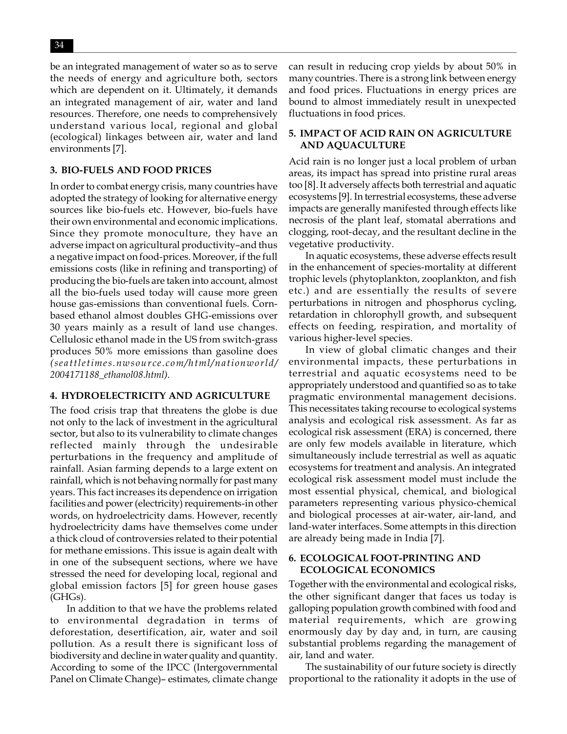$34$   $\blacksquare$ 

be an integrated management of water so as to serve the needs of energy and agriculture both, sectors which are dependent on it. Ultimately, it demands an integrated management of air, water and land resources. Therefore, one needs to comprehensively understand various local, regional and global (ecological) linkages between air, water and land environments [7].

## **3. BIO-FUELS AND FOOD PRICES**

In order to combat energy crisis, many countries have adopted the strategy of looking for alternative energy sources like bio-fuels etc. However, bio-fuels have their own environmental and economic implications. Since they promote monoculture, they have an adverse impact on agricultural productivity–and thus a negative impact on food-prices. Moreover, if the full emissions costs (like in refining and transporting) of producing the bio-fuels are taken into account, almost all the bio-fuels used today will cause more green house gas-emissions than conventional fuels. Cornbased ethanol almost doubles GHG-emissions over 30 years mainly as a result of land use changes. Cellulosic ethanol made in the US from switch-grass produces 50% more emissions than gasoline does *( se a t tle tim e s. nw sour ce.c om/ h tml/ na ti onwo rld/ 2004171188\_ethanol08.html).*

### **4. HYDROELECTRICITY AND AGRICULTURE**

The food crisis trap that threatens the globe is due not only to the lack of investment in the agricultural sector, but also to its vulnerability to climate changes reflected mainly through the undesirable perturbations in the frequency and amplitude of rainfall. Asian farming depends to a large extent on rainfall, which is not behaving normally for past many years. This fact increases its dependence on irrigation facilities and power (electricity) requirements-in other words, on hydroelectricity dams. However, recently hydroelectricity dams have themselves come under a thick cloud of controversies related to their potential for methane emissions. This issue is again dealt with in one of the subsequent sections, where we have stressed the need for developing local, regional and global emission factors [5] for green house gases (GHGs).

In addition to that we have the problems related to environmental degradation in terms of deforestation, desertification, air, water and soil pollution. As a result there is significant loss of biodiversity and decline in water quality and quantity. According to some of the IPCC (Intergovernmental Panel on Climate Change)– estimates, climate change can result in reducing crop yields by about 50% in many countries. There is a strong link between energy and food prices. Fluctuations in energy prices are bound to almost immediately result in unexpected fluctuations in food prices.

## **5. IMPACT OF ACID RAIN ON AGRICULTURE AND AQUACULTURE**

Acid rain is no longer just a local problem of urban areas, its impact has spread into pristine rural areas too [8]. It adversely affects both terrestrial and aquatic ecosystems [9]. In terrestrial ecosystems, these adverse impacts are generally manifested through effects like necrosis of the plant leaf, stomatal aberrations and clogging, root-decay, and the resultant decline in the vegetative productivity.

In aquatic ecosystems, these adverse effects result in the enhancement of species-mortality at different trophic levels (phytoplankton, zooplankton, and fish etc.) and are essentially the results of severe perturbations in nitrogen and phosphorus cycling, retardation in chlorophyll growth, and subsequent effects on feeding, respiration, and mortality of various higher-level species.

In view of global climatic changes and their environmental impacts, these perturbations in terrestrial and aquatic ecosystems need to be appropriately understood and quantified so as to take pragmatic environmental management decisions. This necessitates taking recourse to ecological systems analysis and ecological risk assessment. As far as ecological risk assessment (ERA) is concerned, there are only few models available in literature, which simultaneously include terrestrial as well as aquatic ecosystems for treatment and analysis. An integrated ecological risk assessment model must include the most essential physical, chemical, and biological parameters representing various physico-chemical and biological processes at air-water, air-land, and land-water interfaces. Some attempts in this direction are already being made in India [7].

# **6. ECOLOGICAL FOOT-PRINTING AND ECOLOGICAL ECONOMICS**

Together with the environmental and ecological risks, the other significant danger that faces us today is galloping population growth combined with food and material requirements, which are growing enormously day by day and, in turn, are causing substantial problems regarding the management of air, land and water.

The sustainability of our future society is directly proportional to the rationality it adopts in the use of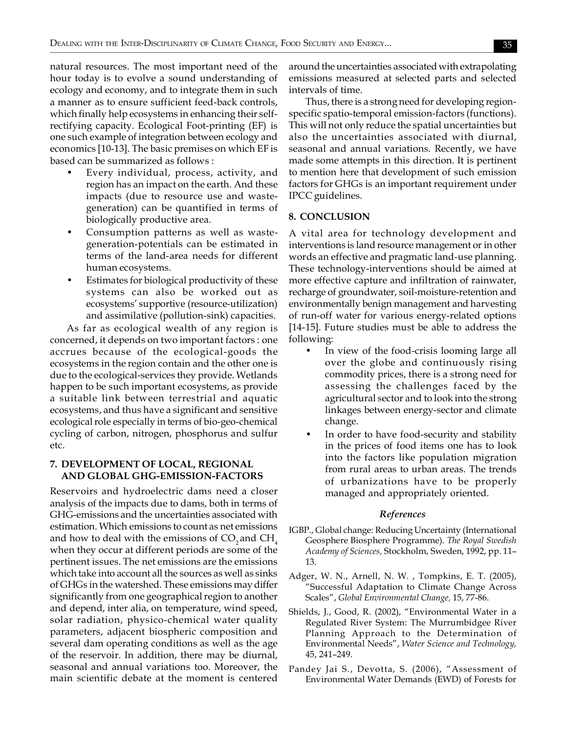natural resources. The most important need of the hour today is to evolve a sound understanding of ecology and economy, and to integrate them in such a manner as to ensure sufficient feed-back controls, which finally help ecosystems in enhancing their selfrectifying capacity. Ecological Foot-printing (EF) is one such example of integration between ecology and economics [10-13]. The basic premises on which EF is based can be summarized as follows :

- Every individual, process, activity, and region has an impact on the earth. And these impacts (due to resource use and wastegeneration) can be quantified in terms of biologically productive area.
- Consumption patterns as well as wastegeneration-potentials can be estimated in terms of the land-area needs for different human ecosystems.
- Estimates for biological productivity of these systems can also be worked out as ecosystems' supportive (resource-utilization) and assimilative (pollution-sink) capacities.

As far as ecological wealth of any region is concerned, it depends on two important factors : one accrues because of the ecological-goods the ecosystems in the region contain and the other one is due to the ecological-services they provide. Wetlands happen to be such important ecosystems, as provide a suitable link between terrestrial and aquatic ecosystems, and thus have a significant and sensitive ecological role especially in terms of bio-geo-chemical cycling of carbon, nitrogen, phosphorus and sulfur etc.

### **7. DEVELOPMENT OF LOCAL, REGIONAL AND GLOBAL GHG-EMISSION-FACTORS**

Reservoirs and hydroelectric dams need a closer analysis of the impacts due to dams, both in terms of GHG-emissions and the uncertainties associated with estimation. Which emissions to count as net emissions and how to deal with the emissions of  $CO_2$  and  $CH_4$ when they occur at different periods are some of the pertinent issues. The net emissions are the emissions which take into account all the sources as well as sinks of GHGs in the watershed. These emissions may differ significantly from one geographical region to another and depend, inter alia, on temperature, wind speed, solar radiation, physico-chemical water quality parameters, adjacent biospheric composition and several dam operating conditions as well as the age of the reservoir. In addition, there may be diurnal, seasonal and annual variations too. Moreover, the main scientific debate at the moment is centered

around the uncertainties associated with extrapolating emissions measured at selected parts and selected intervals of time.

Thus, there is a strong need for developing regionspecific spatio-temporal emission-factors (functions). This will not only reduce the spatial uncertainties but also the uncertainties associated with diurnal, seasonal and annual variations. Recently, we have made some attempts in this direction. It is pertinent to mention here that development of such emission factors for GHGs is an important requirement under IPCC guidelines.

#### **8. CONCLUSION**

A vital area for technology development and interventions is land resource management or in other words an effective and pragmatic land-use planning. These technology-interventions should be aimed at more effective capture and infiltration of rainwater, recharge of groundwater, soil-moisture-retention and environmentally benign management and harvesting of run-off water for various energy-related options [14-15]. Future studies must be able to address the following:

- In view of the food-crisis looming large all over the globe and continuously rising commodity prices, there is a strong need for assessing the challenges faced by the agricultural sector and to look into the strong linkages between energy-sector and climate change.
- In order to have food-security and stability in the prices of food items one has to look into the factors like population migration from rural areas to urban areas. The trends of urbanizations have to be properly managed and appropriately oriented.

#### *References*

- IGBP., Global change: Reducing Uncertainty (International Geosphere Biosphere Programme). *The Royal Swedish Academy of Sciences,* Stockholm, Sweden, 1992, pp. 11– 13.
- Adger, W. N., Arnell, N. W. , Tompkins, E. T. (2005), "Successful Adaptation to Climate Change Across Scales", *Global Environmental Change,* 15, 77-86.
- Shields, J., Good, R. (2002), "Environmental Water in a Regulated River System: The Murrumbidgee River Planning Approach to the Determination of Environmental Needs", *Water Science and Technology,* 45, 241–249.
- Pandey Jai S., Devotta, S. (2006), "Assessment of Environmental Water Demands (EWD) of Forests for